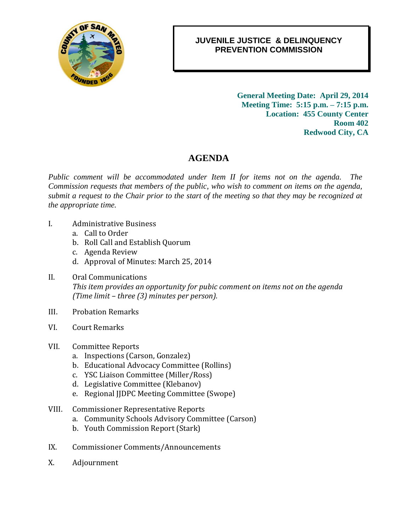

## *0B***JUVENILE JUSTICE & DELINQUENCY** *1B***PREVENTION COMMISSION**

*2B***General Meeting Date: April 29, 2014 Meeting Time: 5:15 p.m. – 7:15 p.m. Location: 455 County Center Room 402 Redwood City, CA**

## 4B**AGENDA**

*Public comment will be accommodated under Item II for items not on the agenda. The Commission requests that members of the public, who wish to comment on items on the agenda, submit a request to the Chair prior to the start of the meeting so that they may be recognized at the appropriate time.*

- I. Administrative Business
	- a. Call to Order
	- b. Roll Call and Establish Quorum
	- c. Agenda Review
	- d. Approval of Minutes: March 25, 2014
- II. Oral Communications *This item provides an opportunity for pubic comment on items not on the agenda (Time limit – three (3) minutes per person).*
- III. Probation Remarks
- VI. Court Remarks
- VII. Committee Reports
	- a. Inspections (Carson, Gonzalez)
	- b. Educational Advocacy Committee (Rollins)
	- c. YSC Liaison Committee (Miller/Ross)
	- d. Legislative Committee (Klebanov)
	- e. Regional JJDPC Meeting Committee (Swope)
- VIII. Commissioner Representative Reports
	- a. Community Schools Advisory Committee (Carson)
	- b. Youth Commission Report (Stark)
- IX. Commissioner Comments/Announcements
- X. Adjournment